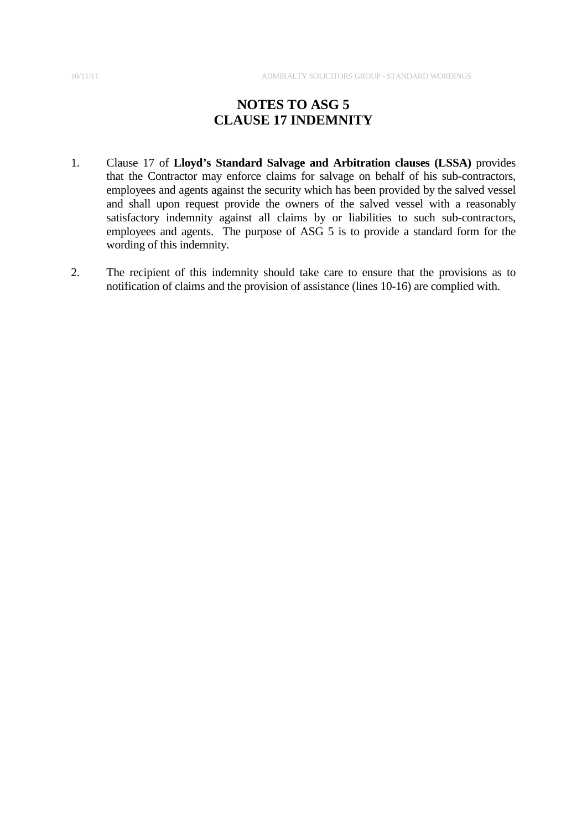# **NOTES TO ASG 5 CLAUSE 17 INDEMNITY**

- 1. Clause 17 of **Lloyd's Standard Salvage and Arbitration clauses (LSSA)** provides that the Contractor may enforce claims for salvage on behalf of his sub-contractors, employees and agents against the security which has been provided by the salved vessel and shall upon request provide the owners of the salved vessel with a reasonably satisfactory indemnity against all claims by or liabilities to such sub-contractors, employees and agents. The purpose of ASG 5 is to provide a standard form for the wording of this indemnity.
- 2. The recipient of this indemnity should take care to ensure that the provisions as to notification of claims and the provision of assistance (lines 10-16) are complied with.